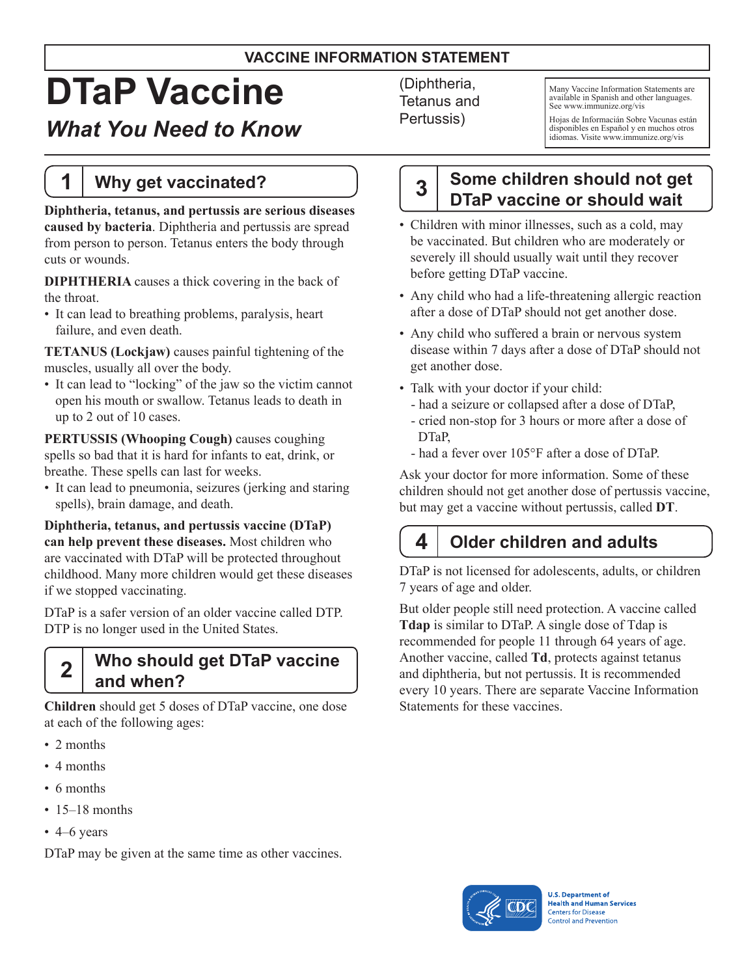### **VACCINE INFORMATION STATEMENT**

# **DTaP Vaccine**

# *What You Need to Know*

# **1 Why get vaccinated?**

**Diphtheria, tetanus, and pertussis are serious diseases caused by bacteria**. Diphtheria and pertussis are spread from person to person. Tetanus enters the body through cuts or wounds.

**DIPHTHERIA** causes a thick covering in the back of the throat.

• It can lead to breathing problems, paralysis, heart failure, and even death.

**TETANUS (Lockjaw)** causes painful tightening of the muscles, usually all over the body.

• It can lead to "locking" of the jaw so the victim cannot open his mouth or swallow. Tetanus leads to death in up to 2 out of 10 cases.

**PERTUSSIS (Whooping Cough)** causes coughing spells so bad that it is hard for infants to eat, drink, or breathe. These spells can last for weeks.

• It can lead to pneumonia, seizures (jerking and staring spells), brain damage, and death.

**Diphtheria, tetanus, and pertussis vaccine (DTaP) can help prevent these diseases.** Most children who are vaccinated with DTaP will be protected throughout childhood. Many more children would get these diseases if we stopped vaccinating.

DTaP is a safer version of an older vaccine called DTP. DTP is no longer used in the United States.

## **2 Who should get DTaP vaccine and when?**

**Children** should get 5 doses of DTaP vaccine, one dose at each of the following ages:

- 2 months
- 4 months
- 6 months
- $\cdot$  15–18 months
- $\cdot$  4–6 years

DTaP may be given at the same time as other vaccines.

(Diphtheria, Tetanus and Pertussis)

Many Vaccine Information Statements are available in Spanish and other languages. See [www.immunize.org/vis](http://www.immunize.org/vis)

Hojas de Informacián Sobre Vacunas están disponibles en Español y en muchos otros idiomas. Visite [www.immunize.org/vis](http://www.immunize.org/vis)

**3 Some children should not get DTaP vaccine or should wait**

- Children with minor illnesses, such as a cold, may be vaccinated. But children who are moderately or severely ill should usually wait until they recover before getting DTaP vaccine.
- Any child who had a life-threatening allergic reaction after a dose of DTaP should not get another dose.
- Any child who suffered a brain or nervous system disease within 7 days after a dose of DTaP should not get another dose.
- Talk with your doctor if your child:
	- had a seizure or collapsed after a dose of DTaP,
	- cried non-stop for 3 hours or more after a dose of D<sub>Ta</sub>P
	- had a fever over 105°F after a dose of DTaP.

Ask your doctor for more information. Some of these children should not get another dose of pertussis vaccine, but may get a vaccine without pertussis, called **DT**.

# **4 Older children and adults**

DTaP is not licensed for adolescents, adults, or children 7 years of age and older.

But older people still need protection. A vaccine called **Tdap** is similar to DTaP. A single dose of Tdap is recommended for people 11 through 64 years of age. Another vaccine, called **Td**, protects against tetanus and diphtheria, but not pertussis. It is recommended every 10 years. There are separate Vaccine Information Statements for these vaccines.